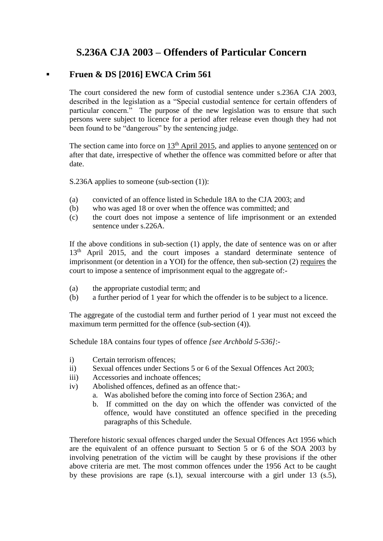## **S.236A CJA 2003 – Offenders of Particular Concern**

## **▪ Fruen & DS [2016] EWCA Crim 561**

The court considered the new form of custodial sentence under s.236A CJA 2003, described in the legislation as a "Special custodial sentence for certain offenders of particular concern." The purpose of the new legislation was to ensure that such persons were subject to licence for a period after release even though they had not been found to be "dangerous" by the sentencing judge.

The section came into force on  $13<sup>th</sup>$  April 2015, and applies to anyone sentenced on or after that date, irrespective of whether the offence was committed before or after that date.

S.236A applies to someone (sub-section (1)):

- (a) convicted of an offence listed in Schedule 18A to the CJA 2003; and
- (b) who was aged 18 or over when the offence was committed; and
- (c) the court does not impose a sentence of life imprisonment or an extended sentence under s. 226A.

If the above conditions in sub-section (1) apply, the date of sentence was on or after 13<sup>th</sup> April 2015, and the court imposes a standard determinate sentence of imprisonment (or detention in a YOI) for the offence, then sub-section (2) requires the court to impose a sentence of imprisonment equal to the aggregate of:-

- (a) the appropriate custodial term; and
- (b) a further period of 1 year for which the offender is to be subject to a licence.

The aggregate of the custodial term and further period of 1 year must not exceed the maximum term permitted for the offence (sub-section  $(4)$ ).

Schedule 18A contains four types of offence *[see Archbold 5-536]*:-

- i) Certain terrorism offences;
- ii) Sexual offences under Sections 5 or 6 of the Sexual Offences Act 2003;
- iii) Accessories and inchoate offences;
- iv) Abolished offences, defined as an offence that:
	- a. Was abolished before the coming into force of Section 236A; and
	- b. If committed on the day on which the offender was convicted of the offence, would have constituted an offence specified in the preceding paragraphs of this Schedule.

Therefore historic sexual offences charged under the Sexual Offences Act 1956 which are the equivalent of an offence pursuant to Section 5 or 6 of the SOA 2003 by involving penetration of the victim will be caught by these provisions if the other above criteria are met. The most common offences under the 1956 Act to be caught by these provisions are rape (s.1), sexual intercourse with a girl under 13 (s.5),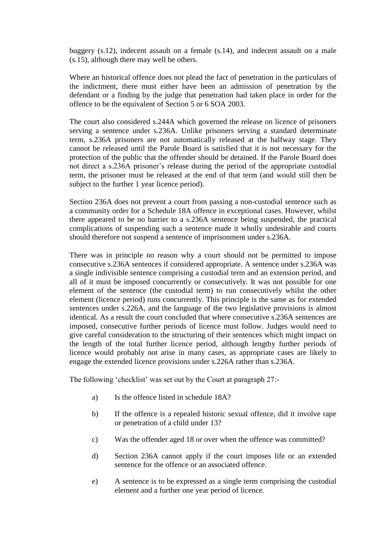buggery (s.12), indecent assault on a female (s.14), and indecent assault on a male (s.15), although there may well be others.

Where an historical offence does not plead the fact of penetration in the particulars of the indictment, there must either have been an admission of penetration by the defendant or a finding by the judge that penetration had taken place in order for the offence to be the equivalent of Section 5 or 6 SOA 2003.

The court also considered s.244A which governed the release on licence of prisoners serving a sentence under s.236A. Unlike prisoners serving a standard determinate term, s.236A prisoners are not automatically released at the halfway stage. They cannot be released until the Parole Board is satisfied that it is not necessary for the protection of the public that the offender should be detained. If the Parole Board does not direct a s.236A prisoner's release during the period of the appropriate custodial term, the prisoner must be released at the end of that term (and would still then be subject to the further 1 year licence period).

Section 236A does not prevent a court from passing a non-custodial sentence such as a community order for a Schedule 18A offence in exceptional cases. However, whilst there appeared to be no barrier to a s.236A sentence being suspended, the practical complications of suspending such a sentence made it wholly undesirable and courts should therefore not suspend a sentence of imprisonment under s.236A.

There was in principle no reason why a court should not be permitted to impose consecutive s.236A sentences if considered appropriate. A sentence under s.236A was a single indivisible sentence comprising a custodial term and an extension period, and all of it must be imposed concurrently or consecutively. It was not possible for one element of the sentence (the custodial term) to run consecutively whilst the other element (licence period) runs concurrently. This principle is the same as for extended sentences under s.226A, and the language of the two legislative provisions is almost identical. As a result the court concluded that where consecutive s.236A sentences are imposed, consecutive further periods of licence must follow. Judges would need to give careful consideration to the structuring of their sentences which might impact on the length of the total further licence period, although lengthy further periods of licence would probably not arise in many cases, as appropriate cases are likely to engage the extended licence provisions under s.226A rather than s.236A.

The following 'checklist' was set out by the Court at paragraph 27:-

- a) Is the offence listed in schedule 18A?
- b) If the offence is a repealed historic sexual offence, did it involve rape or penetration of a child under 13?
- c) Was the offender aged 18 or over when the offence was committed?
- d) Section 236A cannot apply if the court imposes life or an extended sentence for the offence or an associated offence.
- e) A sentence is to be expressed as a single term comprising the custodial element and a further one year period of licence.